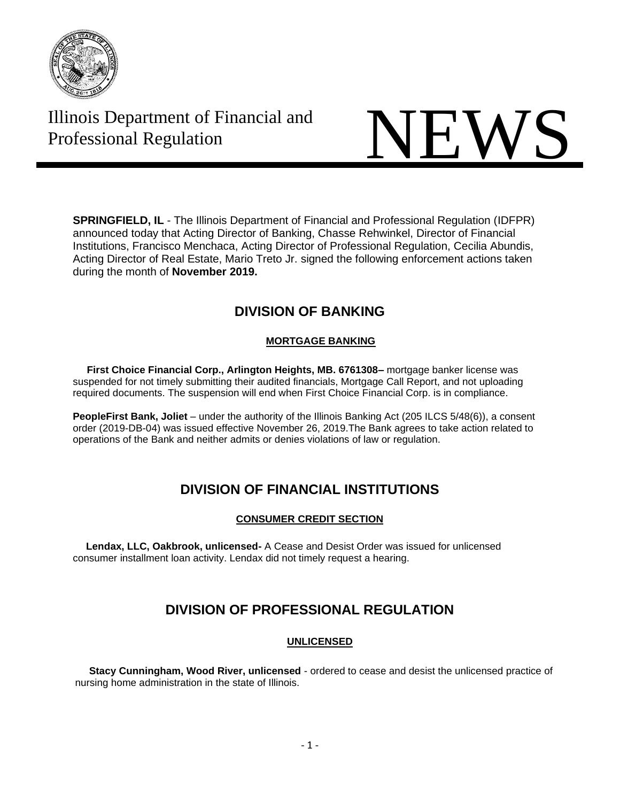

# Illinois Department of Financial and

# Illinois Department of Financial and<br>Professional Regulation

**SPRINGFIELD, IL** - The Illinois Department of Financial and Professional Regulation (IDFPR) announced today that Acting Director of Banking, Chasse Rehwinkel, Director of Financial Institutions, Francisco Menchaca, Acting Director of Professional Regulation, Cecilia Abundis, Acting Director of Real Estate, Mario Treto Jr. signed the following enforcement actions taken during the month of **November 2019.**

## **DIVISION OF BANKING**

#### **MORTGAGE BANKING**

 **First Choice Financial Corp., Arlington Heights, MB. 6761308–** mortgage banker license was suspended for not timely submitting their audited financials, Mortgage Call Report, and not uploading required documents. The suspension will end when First Choice Financial Corp. is in compliance.

**PeopleFirst Bank, Joliet** – under the authority of the Illinois Banking Act (205 ILCS 5/48(6)), a consent order (2019-DB-04) was issued effective November 26, 2019.The Bank agrees to take action related to operations of the Bank and neither admits or denies violations of law or regulation.

# **DIVISION OF FINANCIAL INSTITUTIONS**

#### **CONSUMER CREDIT SECTION**

 **Lendax, LLC, Oakbrook, unlicensed-** A Cease and Desist Order was issued for unlicensed consumer installment loan activity. Lendax did not timely request a hearing.

# **DIVISION OF PROFESSIONAL REGULATION**

#### **UNLICENSED**

 **Stacy Cunningham, Wood River, unlicensed** - ordered to cease and desist the unlicensed practice of nursing home administration in the state of Illinois.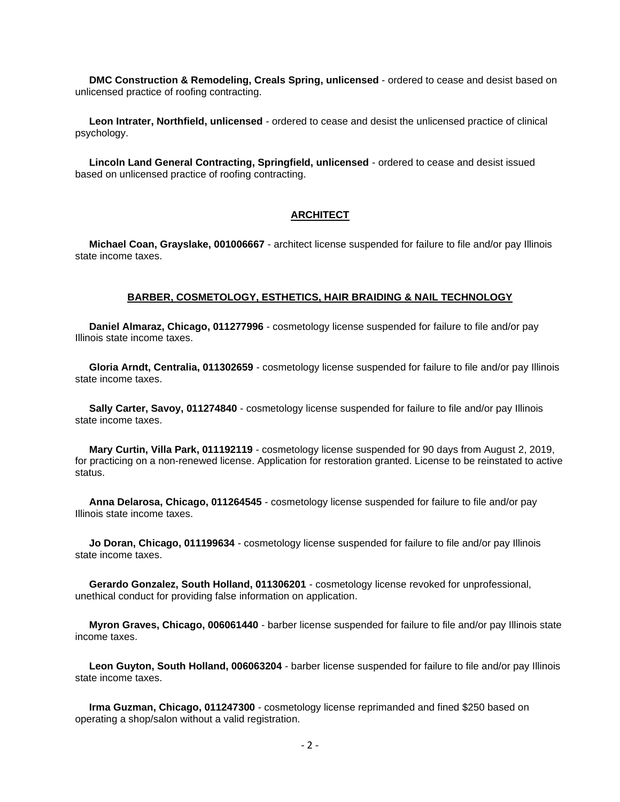**DMC Construction & Remodeling, Creals Spring, unlicensed** - ordered to cease and desist based on unlicensed practice of roofing contracting.

 **Leon Intrater, Northfield, unlicensed** - ordered to cease and desist the unlicensed practice of clinical psychology.

 **Lincoln Land General Contracting, Springfield, unlicensed** - ordered to cease and desist issued based on unlicensed practice of roofing contracting.

#### **ARCHITECT**

 **Michael Coan, Grayslake, 001006667** - architect license suspended for failure to file and/or pay Illinois state income taxes.

#### **BARBER, COSMETOLOGY, ESTHETICS, HAIR BRAIDING & NAIL TECHNOLOGY**

 **Daniel Almaraz, Chicago, 011277996** - cosmetology license suspended for failure to file and/or pay Illinois state income taxes.

 **Gloria Arndt, Centralia, 011302659** - cosmetology license suspended for failure to file and/or pay Illinois state income taxes.

 **Sally Carter, Savoy, 011274840** - cosmetology license suspended for failure to file and/or pay Illinois state income taxes.

 **Mary Curtin, Villa Park, 011192119** - cosmetology license suspended for 90 days from August 2, 2019, for practicing on a non-renewed license. Application for restoration granted. License to be reinstated to active status.

 **Anna Delarosa, Chicago, 011264545** - cosmetology license suspended for failure to file and/or pay Illinois state income taxes.

 **Jo Doran, Chicago, 011199634** - cosmetology license suspended for failure to file and/or pay Illinois state income taxes.

 **Gerardo Gonzalez, South Holland, 011306201** - cosmetology license revoked for unprofessional, unethical conduct for providing false information on application.

 **Myron Graves, Chicago, 006061440** - barber license suspended for failure to file and/or pay Illinois state income taxes.

 **Leon Guyton, South Holland, 006063204** - barber license suspended for failure to file and/or pay Illinois state income taxes.

 **Irma Guzman, Chicago, 011247300** - cosmetology license reprimanded and fined \$250 based on operating a shop/salon without a valid registration.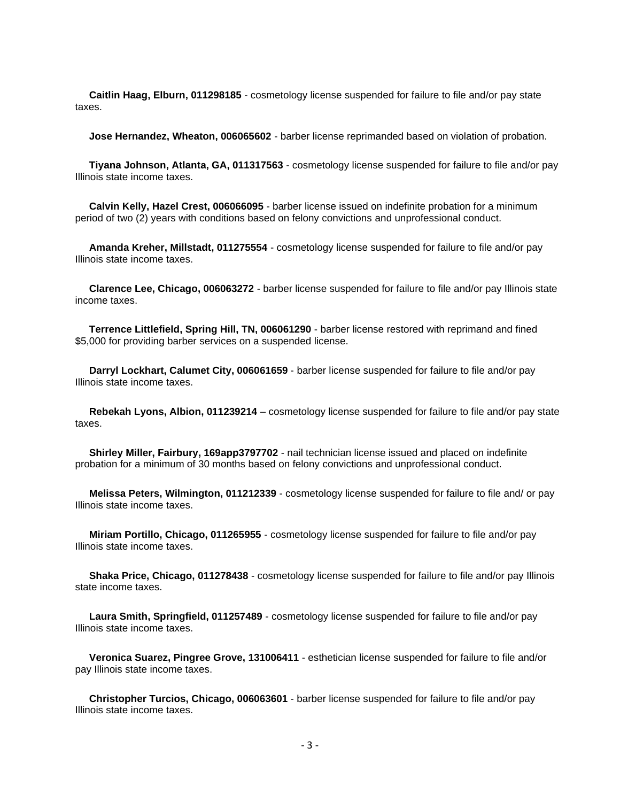**Caitlin Haag, Elburn, 011298185** - cosmetology license suspended for failure to file and/or pay state taxes.

**Jose Hernandez, Wheaton, 006065602** - barber license reprimanded based on violation of probation.

 **Tiyana Johnson, Atlanta, GA, 011317563** - cosmetology license suspended for failure to file and/or pay Illinois state income taxes.

 **Calvin Kelly, Hazel Crest, 006066095** - barber license issued on indefinite probation for a minimum period of two (2) years with conditions based on felony convictions and unprofessional conduct.

 **Amanda Kreher, Millstadt, 011275554** - cosmetology license suspended for failure to file and/or pay Illinois state income taxes.

 **Clarence Lee, Chicago, 006063272** - barber license suspended for failure to file and/or pay Illinois state income taxes.

 **Terrence Littlefield, Spring Hill, TN, 006061290** - barber license restored with reprimand and fined \$5,000 for providing barber services on a suspended license.

 **Darryl Lockhart, Calumet City, 006061659** - barber license suspended for failure to file and/or pay Illinois state income taxes.

 **Rebekah Lyons, Albion, 011239214** – cosmetology license suspended for failure to file and/or pay state taxes.

 **Shirley Miller, Fairbury, 169app3797702** - nail technician license issued and placed on indefinite probation for a minimum of 30 months based on felony convictions and unprofessional conduct.

 **Melissa Peters, Wilmington, 011212339** - cosmetology license suspended for failure to file and/ or pay Illinois state income taxes.

 **Miriam Portillo, Chicago, 011265955** - cosmetology license suspended for failure to file and/or pay Illinois state income taxes.

 **Shaka Price, Chicago, 011278438** - cosmetology license suspended for failure to file and/or pay Illinois state income taxes.

 **Laura Smith, Springfield, 011257489** - cosmetology license suspended for failure to file and/or pay Illinois state income taxes.

 **Veronica Suarez, Pingree Grove, 131006411** - esthetician license suspended for failure to file and/or pay Illinois state income taxes.

 **Christopher Turcios, Chicago, 006063601** - barber license suspended for failure to file and/or pay Illinois state income taxes.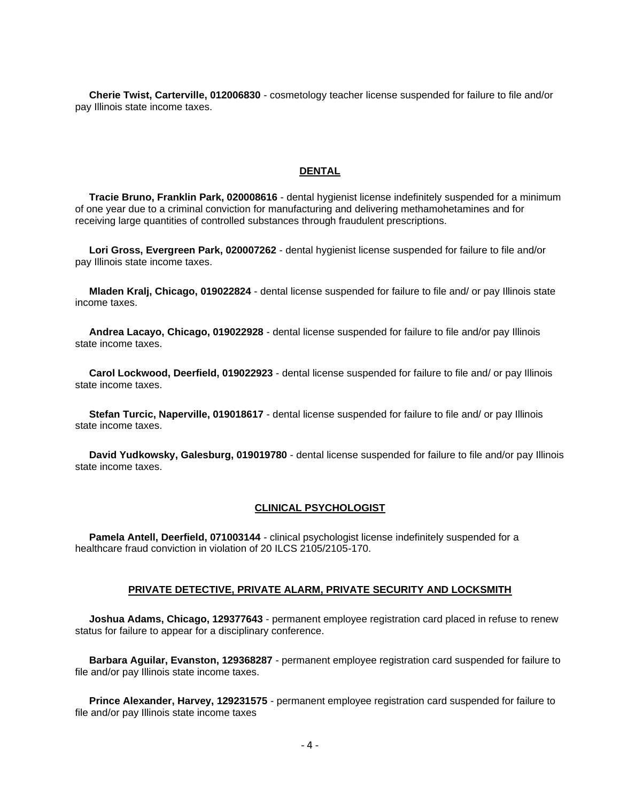**Cherie Twist, Carterville, 012006830** - cosmetology teacher license suspended for failure to file and/or pay Illinois state income taxes.

#### **DENTAL**

 **Tracie Bruno, Franklin Park, 020008616** - dental hygienist license indefinitely suspended for a minimum of one year due to a criminal conviction for manufacturing and delivering methamohetamines and for receiving large quantities of controlled substances through fraudulent prescriptions.

 **Lori Gross, Evergreen Park, 020007262** - dental hygienist license suspended for failure to file and/or pay Illinois state income taxes.

 **Mladen Kralj, Chicago, 019022824** - dental license suspended for failure to file and/ or pay Illinois state income taxes.

 **Andrea Lacayo, Chicago, 019022928** - dental license suspended for failure to file and/or pay Illinois state income taxes.

 **Carol Lockwood, Deerfield, 019022923** - dental license suspended for failure to file and/ or pay Illinois state income taxes.

 **Stefan Turcic, Naperville, 019018617** - dental license suspended for failure to file and/ or pay Illinois state income taxes.

 **David Yudkowsky, Galesburg, 019019780** - dental license suspended for failure to file and/or pay Illinois state income taxes.

#### **CLINICAL PSYCHOLOGIST**

 **Pamela Antell, Deerfield, 071003144** - clinical psychologist license indefinitely suspended for a healthcare fraud conviction in violation of 20 ILCS 2105/2105-170.

#### **PRIVATE DETECTIVE, PRIVATE ALARM, PRIVATE SECURITY AND LOCKSMITH**

 **Joshua Adams, Chicago, 129377643** - permanent employee registration card placed in refuse to renew status for failure to appear for a disciplinary conference.

 **Barbara Aguilar, Evanston, 129368287** - permanent employee registration card suspended for failure to file and/or pay Illinois state income taxes.

 **Prince Alexander, Harvey, 129231575** - permanent employee registration card suspended for failure to file and/or pay Illinois state income taxes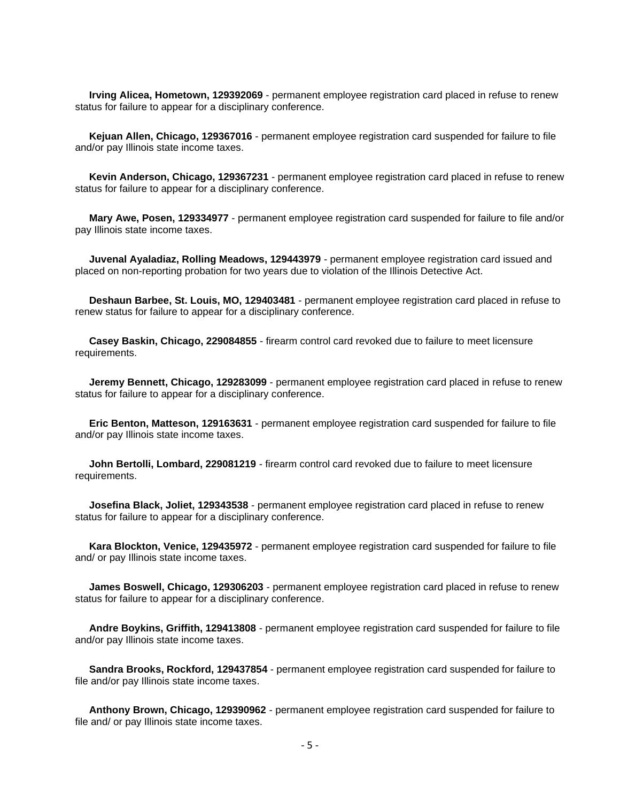**Irving Alicea, Hometown, 129392069** - permanent employee registration card placed in refuse to renew status for failure to appear for a disciplinary conference.

 **Kejuan Allen, Chicago, 129367016** - permanent employee registration card suspended for failure to file and/or pay Illinois state income taxes.

 **Kevin Anderson, Chicago, 129367231** - permanent employee registration card placed in refuse to renew status for failure to appear for a disciplinary conference.

 **Mary Awe, Posen, 129334977** - permanent employee registration card suspended for failure to file and/or pay Illinois state income taxes.

 **Juvenal Ayaladiaz, Rolling Meadows, 129443979** - permanent employee registration card issued and placed on non-reporting probation for two years due to violation of the Illinois Detective Act.

 **Deshaun Barbee, St. Louis, MO, 129403481** - permanent employee registration card placed in refuse to renew status for failure to appear for a disciplinary conference.

 **Casey Baskin, Chicago, 229084855** - firearm control card revoked due to failure to meet licensure requirements.

 **Jeremy Bennett, Chicago, 129283099** - permanent employee registration card placed in refuse to renew status for failure to appear for a disciplinary conference.

 **Eric Benton, Matteson, 129163631** - permanent employee registration card suspended for failure to file and/or pay Illinois state income taxes.

 **John Bertolli, Lombard, 229081219** - firearm control card revoked due to failure to meet licensure requirements.

 **Josefina Black, Joliet, 129343538** - permanent employee registration card placed in refuse to renew status for failure to appear for a disciplinary conference.

 **Kara Blockton, Venice, 129435972** - permanent employee registration card suspended for failure to file and/ or pay Illinois state income taxes.

 **James Boswell, Chicago, 129306203** - permanent employee registration card placed in refuse to renew status for failure to appear for a disciplinary conference.

 **Andre Boykins, Griffith, 129413808** - permanent employee registration card suspended for failure to file and/or pay Illinois state income taxes.

 **Sandra Brooks, Rockford, 129437854** - permanent employee registration card suspended for failure to file and/or pay Illinois state income taxes.

 **Anthony Brown, Chicago, 129390962** - permanent employee registration card suspended for failure to file and/ or pay Illinois state income taxes.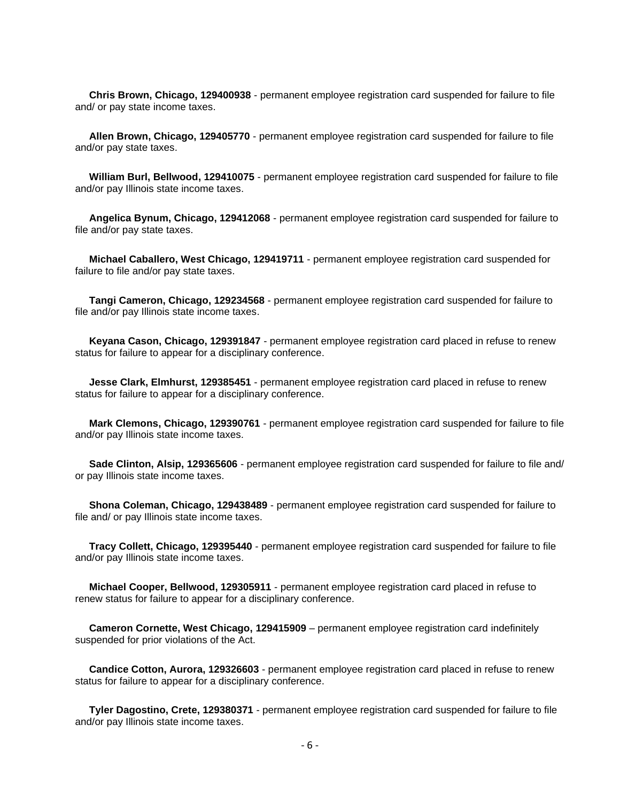**Chris Brown, Chicago, 129400938** - permanent employee registration card suspended for failure to file and/ or pay state income taxes.

 **Allen Brown, Chicago, 129405770** - permanent employee registration card suspended for failure to file and/or pay state taxes.

 **William Burl, Bellwood, 129410075** - permanent employee registration card suspended for failure to file and/or pay Illinois state income taxes.

 **Angelica Bynum, Chicago, 129412068** - permanent employee registration card suspended for failure to file and/or pay state taxes.

 **Michael Caballero, West Chicago, 129419711** - permanent employee registration card suspended for failure to file and/or pay state taxes.

 **Tangi Cameron, Chicago, 129234568** - permanent employee registration card suspended for failure to file and/or pay Illinois state income taxes.

 **Keyana Cason, Chicago, 129391847** - permanent employee registration card placed in refuse to renew status for failure to appear for a disciplinary conference.

 **Jesse Clark, Elmhurst, 129385451** - permanent employee registration card placed in refuse to renew status for failure to appear for a disciplinary conference.

 **Mark Clemons, Chicago, 129390761** - permanent employee registration card suspended for failure to file and/or pay Illinois state income taxes.

 **Sade Clinton, Alsip, 129365606** - permanent employee registration card suspended for failure to file and/ or pay Illinois state income taxes.

 **Shona Coleman, Chicago, 129438489** - permanent employee registration card suspended for failure to file and/ or pay Illinois state income taxes.

 **Tracy Collett, Chicago, 129395440** - permanent employee registration card suspended for failure to file and/or pay Illinois state income taxes.

 **Michael Cooper, Bellwood, 129305911** - permanent employee registration card placed in refuse to renew status for failure to appear for a disciplinary conference.

 **Cameron Cornette, West Chicago, 129415909** – permanent employee registration card indefinitely suspended for prior violations of the Act.

 **Candice Cotton, Aurora, 129326603** - permanent employee registration card placed in refuse to renew status for failure to appear for a disciplinary conference.

 **Tyler Dagostino, Crete, 129380371** - permanent employee registration card suspended for failure to file and/or pay Illinois state income taxes.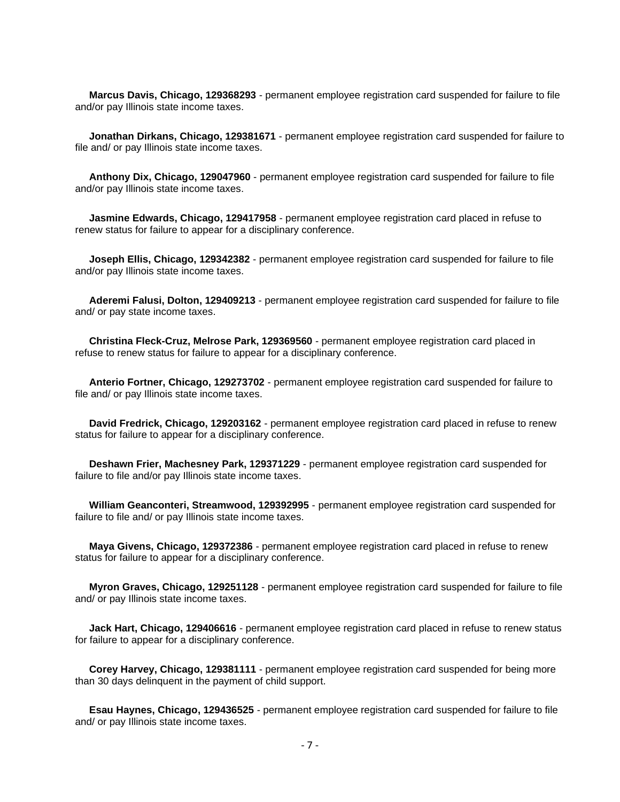**Marcus Davis, Chicago, 129368293** - permanent employee registration card suspended for failure to file and/or pay Illinois state income taxes.

 **Jonathan Dirkans, Chicago, 129381671** - permanent employee registration card suspended for failure to file and/ or pay Illinois state income taxes.

 **Anthony Dix, Chicago, 129047960** - permanent employee registration card suspended for failure to file and/or pay Illinois state income taxes.

 **Jasmine Edwards, Chicago, 129417958** - permanent employee registration card placed in refuse to renew status for failure to appear for a disciplinary conference.

 **Joseph Ellis, Chicago, 129342382** - permanent employee registration card suspended for failure to file and/or pay Illinois state income taxes.

 **Aderemi Falusi, Dolton, 129409213** - permanent employee registration card suspended for failure to file and/ or pay state income taxes.

 **Christina Fleck-Cruz, Melrose Park, 129369560** - permanent employee registration card placed in refuse to renew status for failure to appear for a disciplinary conference.

 **Anterio Fortner, Chicago, 129273702** - permanent employee registration card suspended for failure to file and/ or pay Illinois state income taxes.

 **David Fredrick, Chicago, 129203162** - permanent employee registration card placed in refuse to renew status for failure to appear for a disciplinary conference.

 **Deshawn Frier, Machesney Park, 129371229** - permanent employee registration card suspended for failure to file and/or pay Illinois state income taxes.

 **William Geanconteri, Streamwood, 129392995** - permanent employee registration card suspended for failure to file and/ or pay Illinois state income taxes.

 **Maya Givens, Chicago, 129372386** - permanent employee registration card placed in refuse to renew status for failure to appear for a disciplinary conference.

 **Myron Graves, Chicago, 129251128** - permanent employee registration card suspended for failure to file and/ or pay Illinois state income taxes.

 **Jack Hart, Chicago, 129406616** - permanent employee registration card placed in refuse to renew status for failure to appear for a disciplinary conference.

 **Corey Harvey, Chicago, 129381111** - permanent employee registration card suspended for being more than 30 days delinquent in the payment of child support.

 **Esau Haynes, Chicago, 129436525** - permanent employee registration card suspended for failure to file and/ or pay Illinois state income taxes.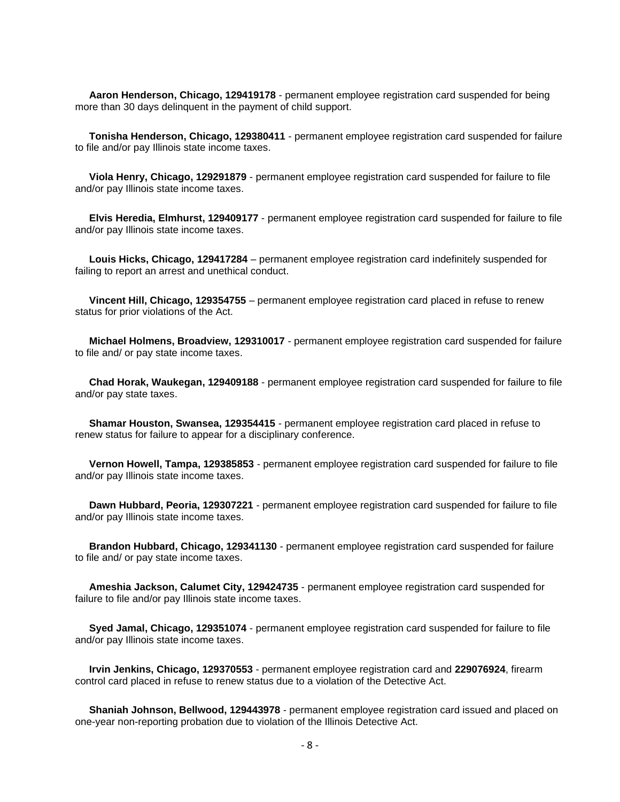**Aaron Henderson, Chicago, 129419178** - permanent employee registration card suspended for being more than 30 days delinquent in the payment of child support.

 **Tonisha Henderson, Chicago, 129380411** - permanent employee registration card suspended for failure to file and/or pay Illinois state income taxes.

 **Viola Henry, Chicago, 129291879** - permanent employee registration card suspended for failure to file and/or pay Illinois state income taxes.

 **Elvis Heredia, Elmhurst, 129409177** - permanent employee registration card suspended for failure to file and/or pay Illinois state income taxes.

 **Louis Hicks, Chicago, 129417284** – permanent employee registration card indefinitely suspended for failing to report an arrest and unethical conduct.

 **Vincent Hill, Chicago, 129354755** – permanent employee registration card placed in refuse to renew status for prior violations of the Act.

 **Michael Holmens, Broadview, 129310017** - permanent employee registration card suspended for failure to file and/ or pay state income taxes.

 **Chad Horak, Waukegan, 129409188** - permanent employee registration card suspended for failure to file and/or pay state taxes.

 **Shamar Houston, Swansea, 129354415** - permanent employee registration card placed in refuse to renew status for failure to appear for a disciplinary conference.

 **Vernon Howell, Tampa, 129385853** - permanent employee registration card suspended for failure to file and/or pay Illinois state income taxes.

 **Dawn Hubbard, Peoria, 129307221** - permanent employee registration card suspended for failure to file and/or pay Illinois state income taxes.

 **Brandon Hubbard, Chicago, 129341130** - permanent employee registration card suspended for failure to file and/ or pay state income taxes.

 **Ameshia Jackson, Calumet City, 129424735** - permanent employee registration card suspended for failure to file and/or pay Illinois state income taxes.

 **Syed Jamal, Chicago, 129351074** - permanent employee registration card suspended for failure to file and/or pay Illinois state income taxes.

 **Irvin Jenkins, Chicago, 129370553** - permanent employee registration card and **229076924**, firearm control card placed in refuse to renew status due to a violation of the Detective Act.

 **Shaniah Johnson, Bellwood, 129443978** - permanent employee registration card issued and placed on one-year non-reporting probation due to violation of the Illinois Detective Act.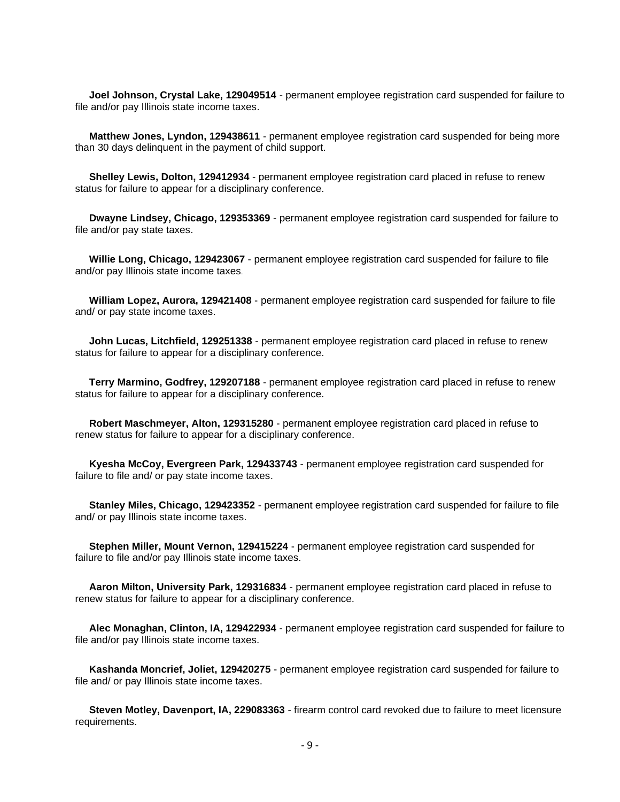**Joel Johnson, Crystal Lake, 129049514** - permanent employee registration card suspended for failure to file and/or pay Illinois state income taxes.

 **Matthew Jones, Lyndon, 129438611** - permanent employee registration card suspended for being more than 30 days delinquent in the payment of child support.

 **Shelley Lewis, Dolton, 129412934** - permanent employee registration card placed in refuse to renew status for failure to appear for a disciplinary conference.

 **Dwayne Lindsey, Chicago, 129353369** - permanent employee registration card suspended for failure to file and/or pay state taxes.

 **Willie Long, Chicago, 129423067** - permanent employee registration card suspended for failure to file and/or pay Illinois state income taxes.

 **William Lopez, Aurora, 129421408** - permanent employee registration card suspended for failure to file and/ or pay state income taxes.

 **John Lucas, Litchfield, 129251338** - permanent employee registration card placed in refuse to renew status for failure to appear for a disciplinary conference.

 **Terry Marmino, Godfrey, 129207188** - permanent employee registration card placed in refuse to renew status for failure to appear for a disciplinary conference.

 **Robert Maschmeyer, Alton, 129315280** - permanent employee registration card placed in refuse to renew status for failure to appear for a disciplinary conference.

 **Kyesha McCoy, Evergreen Park, 129433743** - permanent employee registration card suspended for failure to file and/ or pay state income taxes.

 **Stanley Miles, Chicago, 129423352** - permanent employee registration card suspended for failure to file and/ or pay Illinois state income taxes.

 **Stephen Miller, Mount Vernon, 129415224** - permanent employee registration card suspended for failure to file and/or pay Illinois state income taxes.

 **Aaron Milton, University Park, 129316834** - permanent employee registration card placed in refuse to renew status for failure to appear for a disciplinary conference.

 **Alec Monaghan, Clinton, IA, 129422934** - permanent employee registration card suspended for failure to file and/or pay Illinois state income taxes.

 **Kashanda Moncrief, Joliet, 129420275** - permanent employee registration card suspended for failure to file and/ or pay Illinois state income taxes.

 **Steven Motley, Davenport, IA, 229083363** - firearm control card revoked due to failure to meet licensure requirements.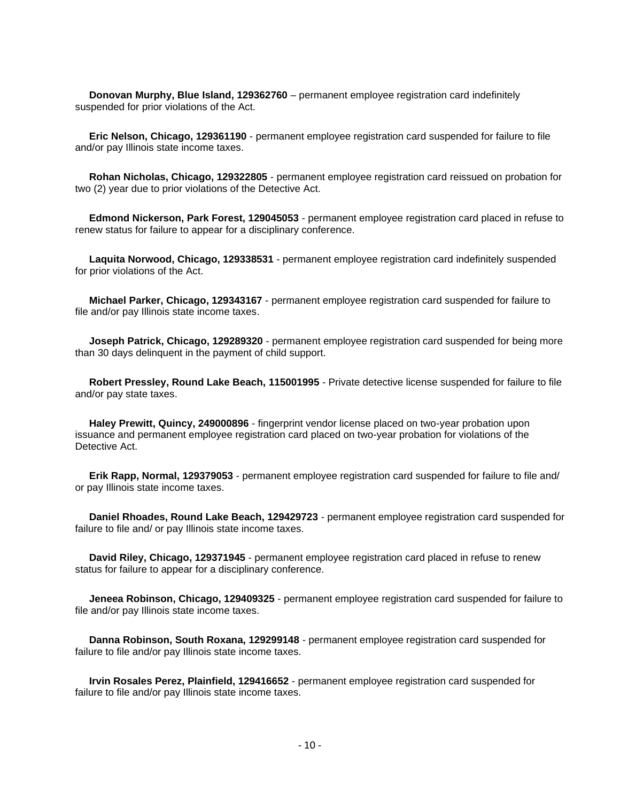**Donovan Murphy, Blue Island, 129362760** – permanent employee registration card indefinitely suspended for prior violations of the Act.

 **Eric Nelson, Chicago, 129361190** - permanent employee registration card suspended for failure to file and/or pay Illinois state income taxes.

 **Rohan Nicholas, Chicago, 129322805** - permanent employee registration card reissued on probation for two (2) year due to prior violations of the Detective Act.

 **Edmond Nickerson, Park Forest, 129045053** - permanent employee registration card placed in refuse to renew status for failure to appear for a disciplinary conference.

 **Laquita Norwood, Chicago, 129338531** - permanent employee registration card indefinitely suspended for prior violations of the Act.

 **Michael Parker, Chicago, 129343167** - permanent employee registration card suspended for failure to file and/or pay Illinois state income taxes.

 **Joseph Patrick, Chicago, 129289320** - permanent employee registration card suspended for being more than 30 days delinquent in the payment of child support.

 **Robert Pressley, Round Lake Beach, 115001995** - Private detective license suspended for failure to file and/or pay state taxes.

 **Haley Prewitt, Quincy, 249000896** - fingerprint vendor license placed on two-year probation upon issuance and permanent employee registration card placed on two-year probation for violations of the Detective Act.

 **Erik Rapp, Normal, 129379053** - permanent employee registration card suspended for failure to file and/ or pay Illinois state income taxes.

 **Daniel Rhoades, Round Lake Beach, 129429723** - permanent employee registration card suspended for failure to file and/ or pay Illinois state income taxes.

 **David Riley, Chicago, 129371945** - permanent employee registration card placed in refuse to renew status for failure to appear for a disciplinary conference.

 **Jeneea Robinson, Chicago, 129409325** - permanent employee registration card suspended for failure to file and/or pay Illinois state income taxes.

 **Danna Robinson, South Roxana, 129299148** - permanent employee registration card suspended for failure to file and/or pay Illinois state income taxes.

 **Irvin Rosales Perez, Plainfield, 129416652** - permanent employee registration card suspended for failure to file and/or pay Illinois state income taxes.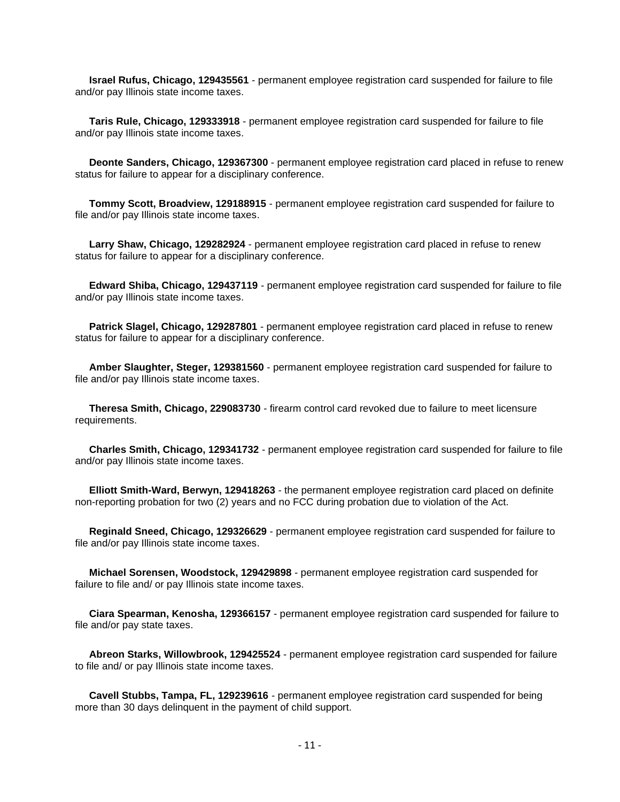**Israel Rufus, Chicago, 129435561** - permanent employee registration card suspended for failure to file and/or pay Illinois state income taxes.

 **Taris Rule, Chicago, 129333918** - permanent employee registration card suspended for failure to file and/or pay Illinois state income taxes.

 **Deonte Sanders, Chicago, 129367300** - permanent employee registration card placed in refuse to renew status for failure to appear for a disciplinary conference.

 **Tommy Scott, Broadview, 129188915** - permanent employee registration card suspended for failure to file and/or pay Illinois state income taxes.

 **Larry Shaw, Chicago, 129282924** - permanent employee registration card placed in refuse to renew status for failure to appear for a disciplinary conference.

 **Edward Shiba, Chicago, 129437119** - permanent employee registration card suspended for failure to file and/or pay Illinois state income taxes.

 **Patrick Slagel, Chicago, 129287801** - permanent employee registration card placed in refuse to renew status for failure to appear for a disciplinary conference.

 **Amber Slaughter, Steger, 129381560** - permanent employee registration card suspended for failure to file and/or pay Illinois state income taxes.

 **Theresa Smith, Chicago, 229083730** - firearm control card revoked due to failure to meet licensure requirements.

 **Charles Smith, Chicago, 129341732** - permanent employee registration card suspended for failure to file and/or pay Illinois state income taxes.

 **Elliott Smith-Ward, Berwyn, 129418263** - the permanent employee registration card placed on definite non-reporting probation for two (2) years and no FCC during probation due to violation of the Act.

 **Reginald Sneed, Chicago, 129326629** - permanent employee registration card suspended for failure to file and/or pay Illinois state income taxes.

 **Michael Sorensen, Woodstock, 129429898** - permanent employee registration card suspended for failure to file and/ or pay Illinois state income taxes.

 **Ciara Spearman, Kenosha, 129366157** - permanent employee registration card suspended for failure to file and/or pay state taxes.

 **Abreon Starks, Willowbrook, 129425524** - permanent employee registration card suspended for failure to file and/ or pay Illinois state income taxes.

 **Cavell Stubbs, Tampa, FL, 129239616** - permanent employee registration card suspended for being more than 30 days delinquent in the payment of child support.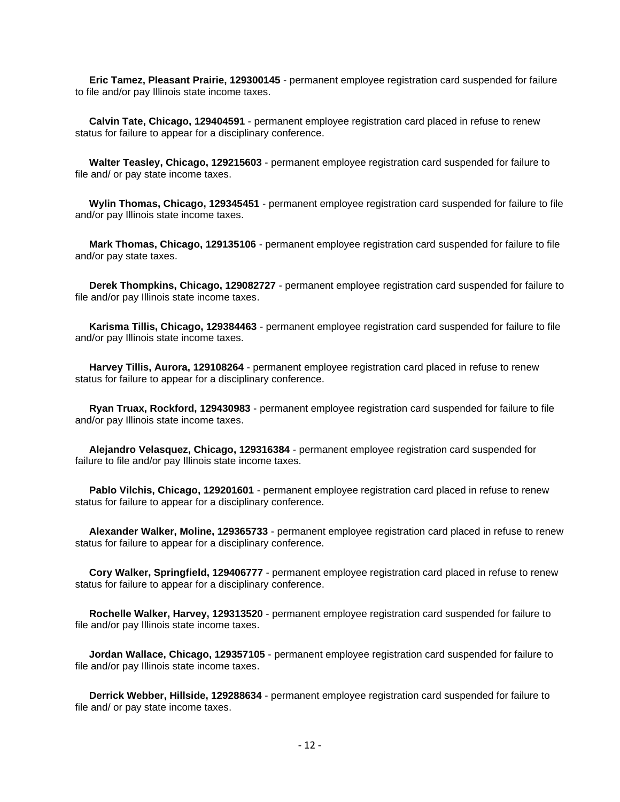**Eric Tamez, Pleasant Prairie, 129300145** - permanent employee registration card suspended for failure to file and/or pay Illinois state income taxes.

 **Calvin Tate, Chicago, 129404591** - permanent employee registration card placed in refuse to renew status for failure to appear for a disciplinary conference.

 **Walter Teasley, Chicago, 129215603** - permanent employee registration card suspended for failure to file and/ or pay state income taxes.

 **Wylin Thomas, Chicago, 129345451** - permanent employee registration card suspended for failure to file and/or pay Illinois state income taxes.

 **Mark Thomas, Chicago, 129135106** - permanent employee registration card suspended for failure to file and/or pay state taxes.

 **Derek Thompkins, Chicago, 129082727** - permanent employee registration card suspended for failure to file and/or pay Illinois state income taxes.

 **Karisma Tillis, Chicago, 129384463** - permanent employee registration card suspended for failure to file and/or pay Illinois state income taxes.

 **Harvey Tillis, Aurora, 129108264** - permanent employee registration card placed in refuse to renew status for failure to appear for a disciplinary conference.

 **Ryan Truax, Rockford, 129430983** - permanent employee registration card suspended for failure to file and/or pay Illinois state income taxes.

 **Alejandro Velasquez, Chicago, 129316384** - permanent employee registration card suspended for failure to file and/or pay Illinois state income taxes.

 **Pablo Vilchis, Chicago, 129201601** - permanent employee registration card placed in refuse to renew status for failure to appear for a disciplinary conference.

 **Alexander Walker, Moline, 129365733** - permanent employee registration card placed in refuse to renew status for failure to appear for a disciplinary conference.

 **Cory Walker, Springfield, 129406777** - permanent employee registration card placed in refuse to renew status for failure to appear for a disciplinary conference.

 **Rochelle Walker, Harvey, 129313520** - permanent employee registration card suspended for failure to file and/or pay Illinois state income taxes.

 **Jordan Wallace, Chicago, 129357105** - permanent employee registration card suspended for failure to file and/or pay Illinois state income taxes.

 **Derrick Webber, Hillside, 129288634** - permanent employee registration card suspended for failure to file and/ or pay state income taxes.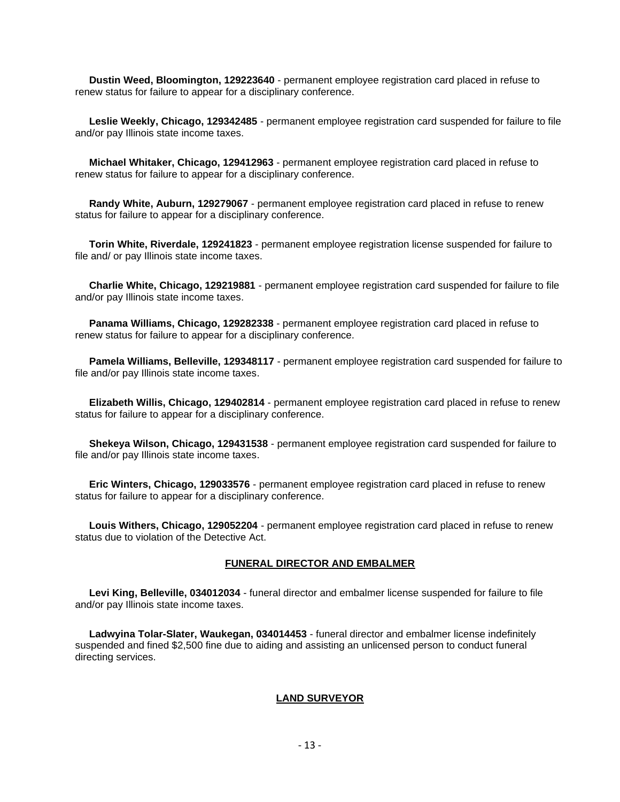**Dustin Weed, Bloomington, 129223640** - permanent employee registration card placed in refuse to renew status for failure to appear for a disciplinary conference.

 **Leslie Weekly, Chicago, 129342485** - permanent employee registration card suspended for failure to file and/or pay Illinois state income taxes.

 **Michael Whitaker, Chicago, 129412963** - permanent employee registration card placed in refuse to renew status for failure to appear for a disciplinary conference.

 **Randy White, Auburn, 129279067** - permanent employee registration card placed in refuse to renew status for failure to appear for a disciplinary conference.

 **Torin White, Riverdale, 129241823** - permanent employee registration license suspended for failure to file and/ or pay Illinois state income taxes.

 **Charlie White, Chicago, 129219881** - permanent employee registration card suspended for failure to file and/or pay Illinois state income taxes.

 **Panama Williams, Chicago, 129282338** - permanent employee registration card placed in refuse to renew status for failure to appear for a disciplinary conference.

 **Pamela Williams, Belleville, 129348117** - permanent employee registration card suspended for failure to file and/or pay Illinois state income taxes.

 **Elizabeth Willis, Chicago, 129402814** - permanent employee registration card placed in refuse to renew status for failure to appear for a disciplinary conference.

 **Shekeya Wilson, Chicago, 129431538** - permanent employee registration card suspended for failure to file and/or pay Illinois state income taxes.

 **Eric Winters, Chicago, 129033576** - permanent employee registration card placed in refuse to renew status for failure to appear for a disciplinary conference.

 **Louis Withers, Chicago, 129052204** - permanent employee registration card placed in refuse to renew status due to violation of the Detective Act.

#### **FUNERAL DIRECTOR AND EMBALMER**

 **Levi King, Belleville, 034012034** - funeral director and embalmer license suspended for failure to file and/or pay Illinois state income taxes.

 **Ladwyina Tolar-Slater, Waukegan, 034014453** - funeral director and embalmer license indefinitely suspended and fined \$2,500 fine due to aiding and assisting an unlicensed person to conduct funeral directing services.

#### **LAND SURVEYOR**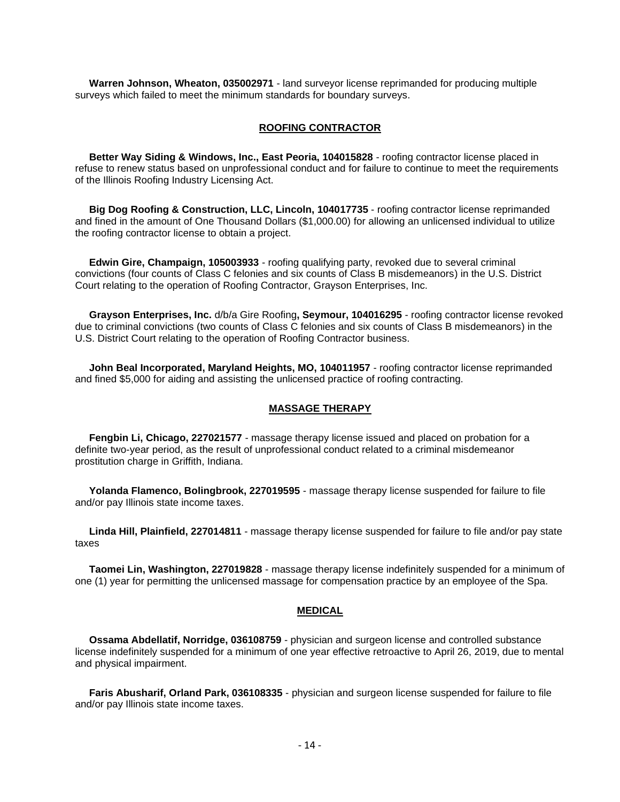**Warren Johnson, Wheaton, 035002971** - land surveyor license reprimanded for producing multiple surveys which failed to meet the minimum standards for boundary surveys.

#### **ROOFING CONTRACTOR**

 **Better Way Siding & Windows, Inc., East Peoria, 104015828** - roofing contractor license placed in refuse to renew status based on unprofessional conduct and for failure to continue to meet the requirements of the Illinois Roofing Industry Licensing Act.

 **Big Dog Roofing & Construction, LLC, Lincoln, 104017735** - roofing contractor license reprimanded and fined in the amount of One Thousand Dollars (\$1,000.00) for allowing an unlicensed individual to utilize the roofing contractor license to obtain a project.

 **Edwin Gire, Champaign, 105003933** - roofing qualifying party, revoked due to several criminal convictions (four counts of Class C felonies and six counts of Class B misdemeanors) in the U.S. District Court relating to the operation of Roofing Contractor, Grayson Enterprises, Inc.

 **Grayson Enterprises, Inc.** d/b/a Gire Roofing**, Seymour, 104016295** - roofing contractor license revoked due to criminal convictions (two counts of Class C felonies and six counts of Class B misdemeanors) in the U.S. District Court relating to the operation of Roofing Contractor business.

 **John Beal Incorporated, Maryland Heights, MO, 104011957** - roofing contractor license reprimanded and fined \$5,000 for aiding and assisting the unlicensed practice of roofing contracting.

#### **MASSAGE THERAPY**

 **Fengbin Li, Chicago, 227021577** - massage therapy license issued and placed on probation for a definite two-year period, as the result of unprofessional conduct related to a criminal misdemeanor prostitution charge in Griffith, Indiana.

 **Yolanda Flamenco, Bolingbrook, 227019595** - massage therapy license suspended for failure to file and/or pay Illinois state income taxes.

 **Linda Hill, Plainfield, 227014811** - massage therapy license suspended for failure to file and/or pay state taxes

 **Taomei Lin, Washington, 227019828** - massage therapy license indefinitely suspended for a minimum of one (1) year for permitting the unlicensed massage for compensation practice by an employee of the Spa.

#### **MEDICAL**

 **Ossama Abdellatif, Norridge, 036108759** - physician and surgeon license and controlled substance license indefinitely suspended for a minimum of one year effective retroactive to April 26, 2019, due to mental and physical impairment.

 **Faris Abusharif, Orland Park, 036108335** - physician and surgeon license suspended for failure to file and/or pay Illinois state income taxes.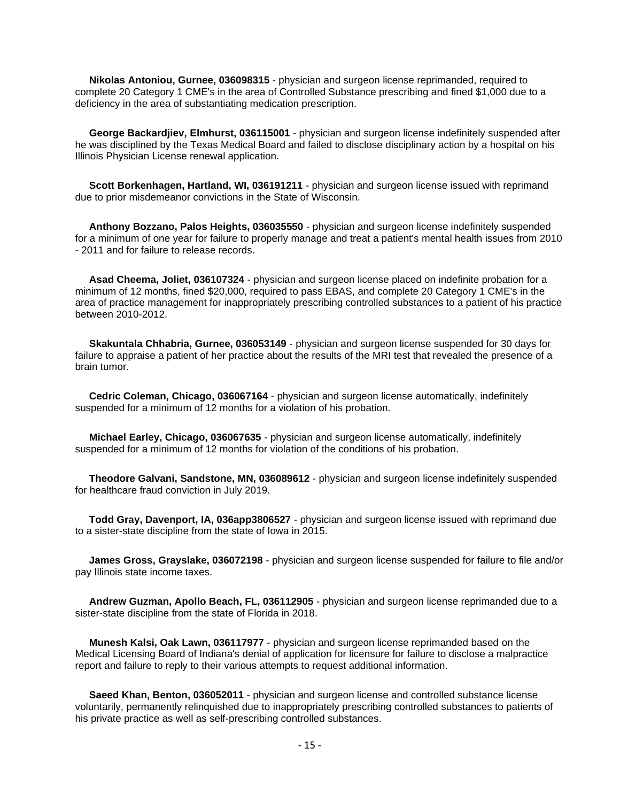**Nikolas Antoniou, Gurnee, 036098315** - physician and surgeon license reprimanded, required to complete 20 Category 1 CME's in the area of Controlled Substance prescribing and fined \$1,000 due to a deficiency in the area of substantiating medication prescription.

 **George Backardjiev, Elmhurst, 036115001** - physician and surgeon license indefinitely suspended after he was disciplined by the Texas Medical Board and failed to disclose disciplinary action by a hospital on his Illinois Physician License renewal application.

 **Scott Borkenhagen, Hartland, WI, 036191211** - physician and surgeon license issued with reprimand due to prior misdemeanor convictions in the State of Wisconsin.

 **Anthony Bozzano, Palos Heights, 036035550** - physician and surgeon license indefinitely suspended for a minimum of one year for failure to properly manage and treat a patient's mental health issues from 2010 - 2011 and for failure to release records.

 **Asad Cheema, Joliet, 036107324** - physician and surgeon license placed on indefinite probation for a minimum of 12 months, fined \$20,000, required to pass EBAS, and complete 20 Category 1 CME's in the area of practice management for inappropriately prescribing controlled substances to a patient of his practice between 2010-2012.

 **Skakuntala Chhabria, Gurnee, 036053149** - physician and surgeon license suspended for 30 days for failure to appraise a patient of her practice about the results of the MRI test that revealed the presence of a brain tumor.

 **Cedric Coleman, Chicago, 036067164** - physician and surgeon license automatically, indefinitely suspended for a minimum of 12 months for a violation of his probation.

 **Michael Earley, Chicago, 036067635** - physician and surgeon license automatically, indefinitely suspended for a minimum of 12 months for violation of the conditions of his probation.

 **Theodore Galvani, Sandstone, MN, 036089612** - physician and surgeon license indefinitely suspended for healthcare fraud conviction in July 2019.

 **Todd Gray, Davenport, IA, 036app3806527** - physician and surgeon license issued with reprimand due to a sister-state discipline from the state of Iowa in 2015.

 **James Gross, Grayslake, 036072198** - physician and surgeon license suspended for failure to file and/or pay Illinois state income taxes.

 **Andrew Guzman, Apollo Beach, FL, 036112905** - physician and surgeon license reprimanded due to a sister-state discipline from the state of Florida in 2018.

 **Munesh Kalsi, Oak Lawn, 036117977** - physician and surgeon license reprimanded based on the Medical Licensing Board of Indiana's denial of application for licensure for failure to disclose a malpractice report and failure to reply to their various attempts to request additional information.

 **Saeed Khan, Benton, 036052011** - physician and surgeon license and controlled substance license voluntarily, permanently relinquished due to inappropriately prescribing controlled substances to patients of his private practice as well as self-prescribing controlled substances.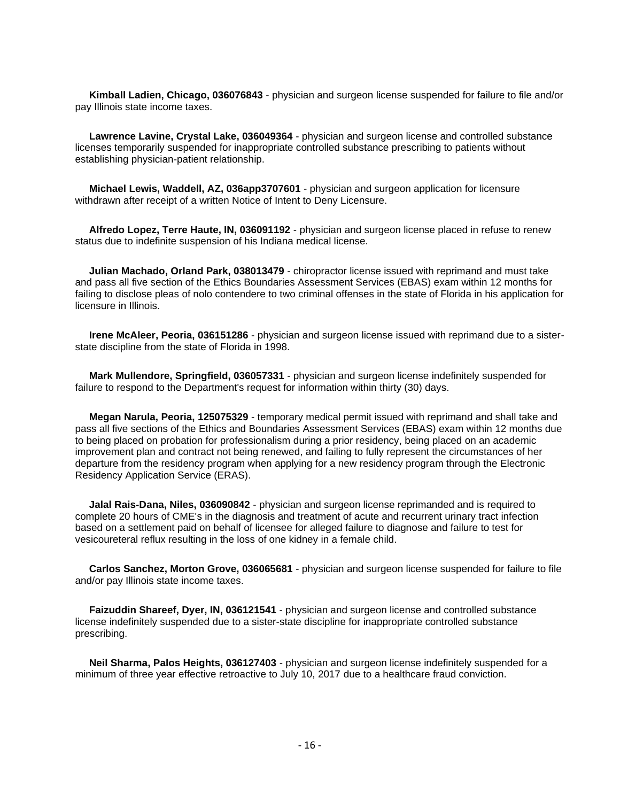**Kimball Ladien, Chicago, 036076843** - physician and surgeon license suspended for failure to file and/or pay Illinois state income taxes.

 **Lawrence Lavine, Crystal Lake, 036049364** - physician and surgeon license and controlled substance licenses temporarily suspended for inappropriate controlled substance prescribing to patients without establishing physician-patient relationship.

 **Michael Lewis, Waddell, AZ, 036app3707601** - physician and surgeon application for licensure withdrawn after receipt of a written Notice of Intent to Deny Licensure.

 **Alfredo Lopez, Terre Haute, IN, 036091192** - physician and surgeon license placed in refuse to renew status due to indefinite suspension of his Indiana medical license.

 **Julian Machado, Orland Park, 038013479** - chiropractor license issued with reprimand and must take and pass all five section of the Ethics Boundaries Assessment Services (EBAS) exam within 12 months for failing to disclose pleas of nolo contendere to two criminal offenses in the state of Florida in his application for licensure in Illinois.

 **Irene McAleer, Peoria, 036151286** - physician and surgeon license issued with reprimand due to a sisterstate discipline from the state of Florida in 1998.

 **Mark Mullendore, Springfield, 036057331** - physician and surgeon license indefinitely suspended for failure to respond to the Department's request for information within thirty (30) days.

 **Megan Narula, Peoria, 125075329** - temporary medical permit issued with reprimand and shall take and pass all five sections of the Ethics and Boundaries Assessment Services (EBAS) exam within 12 months due to being placed on probation for professionalism during a prior residency, being placed on an academic improvement plan and contract not being renewed, and failing to fully represent the circumstances of her departure from the residency program when applying for a new residency program through the Electronic Residency Application Service (ERAS).

 **Jalal Rais-Dana, Niles, 036090842** - physician and surgeon license reprimanded and is required to complete 20 hours of CME's in the diagnosis and treatment of acute and recurrent urinary tract infection based on a settlement paid on behalf of licensee for alleged failure to diagnose and failure to test for vesicoureteral reflux resulting in the loss of one kidney in a female child.

 **Carlos Sanchez, Morton Grove, 036065681** - physician and surgeon license suspended for failure to file and/or pay Illinois state income taxes.

 **Faizuddin Shareef, Dyer, IN, 036121541** - physician and surgeon license and controlled substance license indefinitely suspended due to a sister-state discipline for inappropriate controlled substance prescribing.

 **Neil Sharma, Palos Heights, 036127403** - physician and surgeon license indefinitely suspended for a minimum of three year effective retroactive to July 10, 2017 due to a healthcare fraud conviction.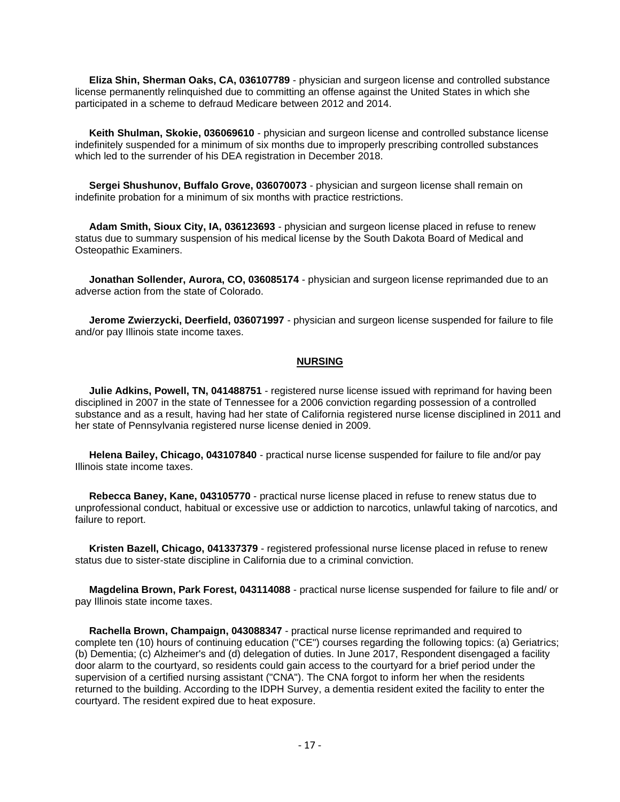**Eliza Shin, Sherman Oaks, CA, 036107789** - physician and surgeon license and controlled substance license permanently relinquished due to committing an offense against the United States in which she participated in a scheme to defraud Medicare between 2012 and 2014.

 **Keith Shulman, Skokie, 036069610** - physician and surgeon license and controlled substance license indefinitely suspended for a minimum of six months due to improperly prescribing controlled substances which led to the surrender of his DEA registration in December 2018.

 **Sergei Shushunov, Buffalo Grove, 036070073** - physician and surgeon license shall remain on indefinite probation for a minimum of six months with practice restrictions.

 **Adam Smith, Sioux City, IA, 036123693** - physician and surgeon license placed in refuse to renew status due to summary suspension of his medical license by the South Dakota Board of Medical and Osteopathic Examiners.

 **Jonathan Sollender, Aurora, CO, 036085174** - physician and surgeon license reprimanded due to an adverse action from the state of Colorado.

 **Jerome Zwierzycki, Deerfield, 036071997** - physician and surgeon license suspended for failure to file and/or pay Illinois state income taxes.

#### **NURSING**

 **Julie Adkins, Powell, TN, 041488751** - registered nurse license issued with reprimand for having been disciplined in 2007 in the state of Tennessee for a 2006 conviction regarding possession of a controlled substance and as a result, having had her state of California registered nurse license disciplined in 2011 and her state of Pennsylvania registered nurse license denied in 2009.

 **Helena Bailey, Chicago, 043107840** - practical nurse license suspended for failure to file and/or pay Illinois state income taxes.

 **Rebecca Baney, Kane, 043105770** - practical nurse license placed in refuse to renew status due to unprofessional conduct, habitual or excessive use or addiction to narcotics, unlawful taking of narcotics, and failure to report.

 **Kristen Bazell, Chicago, 041337379** - registered professional nurse license placed in refuse to renew status due to sister-state discipline in California due to a criminal conviction.

 **Magdelina Brown, Park Forest, 043114088** - practical nurse license suspended for failure to file and/ or pay Illinois state income taxes.

 **Rachella Brown, Champaign, 043088347** - practical nurse license reprimanded and required to complete ten (10) hours of continuing education ("CE") courses regarding the following topics: (a) Geriatrics; (b) Dementia; (c) Alzheimer's and (d) delegation of duties. In June 2017, Respondent disengaged a facility door alarm to the courtyard, so residents could gain access to the courtyard for a brief period under the supervision of a certified nursing assistant ("CNA"). The CNA forgot to inform her when the residents returned to the building. According to the IDPH Survey, a dementia resident exited the facility to enter the courtyard. The resident expired due to heat exposure.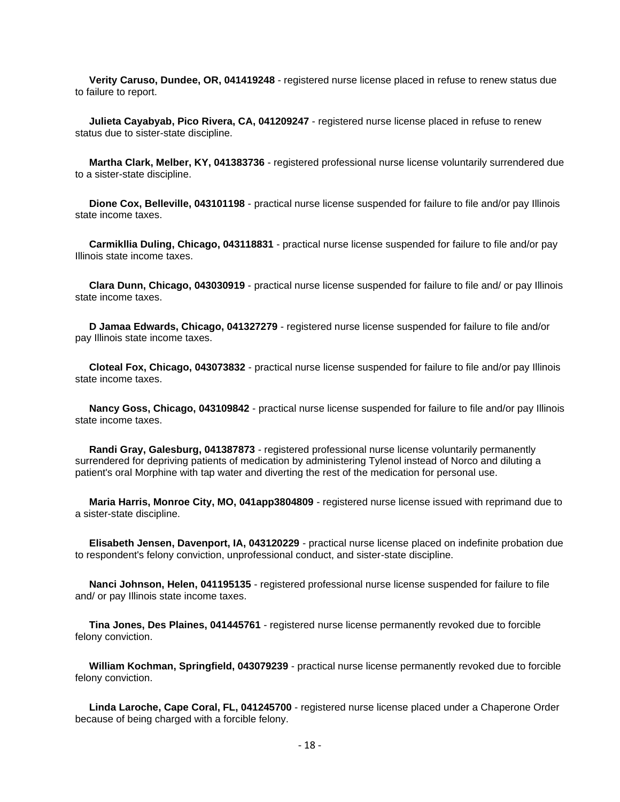**Verity Caruso, Dundee, OR, 041419248** - registered nurse license placed in refuse to renew status due to failure to report.

 **Julieta Cayabyab, Pico Rivera, CA, 041209247** - registered nurse license placed in refuse to renew status due to sister-state discipline.

 **Martha Clark, Melber, KY, 041383736** - registered professional nurse license voluntarily surrendered due to a sister-state discipline.

 **Dione Cox, Belleville, 043101198** - practical nurse license suspended for failure to file and/or pay Illinois state income taxes.

 **Carmikllia Duling, Chicago, 043118831** - practical nurse license suspended for failure to file and/or pay Illinois state income taxes.

 **Clara Dunn, Chicago, 043030919** - practical nurse license suspended for failure to file and/ or pay Illinois state income taxes.

 **D Jamaa Edwards, Chicago, 041327279** - registered nurse license suspended for failure to file and/or pay Illinois state income taxes.

 **Cloteal Fox, Chicago, 043073832** - practical nurse license suspended for failure to file and/or pay Illinois state income taxes.

 **Nancy Goss, Chicago, 043109842** - practical nurse license suspended for failure to file and/or pay Illinois state income taxes.

 **Randi Gray, Galesburg, 041387873** - registered professional nurse license voluntarily permanently surrendered for depriving patients of medication by administering Tylenol instead of Norco and diluting a patient's oral Morphine with tap water and diverting the rest of the medication for personal use.

 **Maria Harris, Monroe City, MO, 041app3804809** - registered nurse license issued with reprimand due to a sister-state discipline.

 **Elisabeth Jensen, Davenport, IA, 043120229** - practical nurse license placed on indefinite probation due to respondent's felony conviction, unprofessional conduct, and sister-state discipline.

 **Nanci Johnson, Helen, 041195135** - registered professional nurse license suspended for failure to file and/ or pay Illinois state income taxes.

 **Tina Jones, Des Plaines, 041445761** - registered nurse license permanently revoked due to forcible felony conviction.

 **William Kochman, Springfield, 043079239** - practical nurse license permanently revoked due to forcible felony conviction.

 **Linda Laroche, Cape Coral, FL, 041245700** - registered nurse license placed under a Chaperone Order because of being charged with a forcible felony.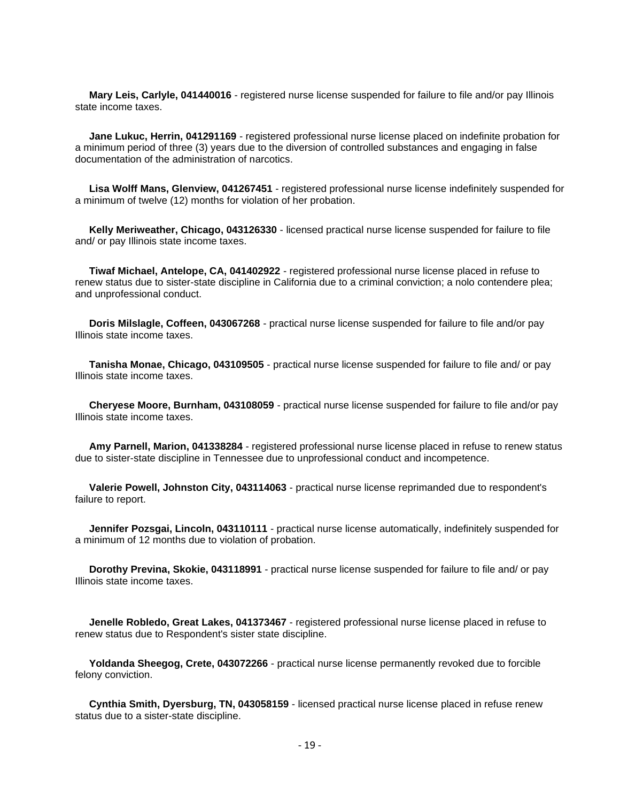**Mary Leis, Carlyle, 041440016** - registered nurse license suspended for failure to file and/or pay Illinois state income taxes.

 **Jane Lukuc, Herrin, 041291169** - registered professional nurse license placed on indefinite probation for a minimum period of three (3) years due to the diversion of controlled substances and engaging in false documentation of the administration of narcotics.

 **Lisa Wolff Mans, Glenview, 041267451** - registered professional nurse license indefinitely suspended for a minimum of twelve (12) months for violation of her probation.

 **Kelly Meriweather, Chicago, 043126330** - licensed practical nurse license suspended for failure to file and/ or pay Illinois state income taxes.

 **Tiwaf Michael, Antelope, CA, 041402922** - registered professional nurse license placed in refuse to renew status due to sister-state discipline in California due to a criminal conviction; a nolo contendere plea; and unprofessional conduct.

 **Doris Milslagle, Coffeen, 043067268** - practical nurse license suspended for failure to file and/or pay Illinois state income taxes.

 **Tanisha Monae, Chicago, 043109505** - practical nurse license suspended for failure to file and/ or pay Illinois state income taxes.

 **Cheryese Moore, Burnham, 043108059** - practical nurse license suspended for failure to file and/or pay Illinois state income taxes.

 **Amy Parnell, Marion, 041338284** - registered professional nurse license placed in refuse to renew status due to sister-state discipline in Tennessee due to unprofessional conduct and incompetence.

 **Valerie Powell, Johnston City, 043114063** - practical nurse license reprimanded due to respondent's failure to report.

 **Jennifer Pozsgai, Lincoln, 043110111** - practical nurse license automatically, indefinitely suspended for a minimum of 12 months due to violation of probation.

 **Dorothy Previna, Skokie, 043118991** - practical nurse license suspended for failure to file and/ or pay Illinois state income taxes.

 **Jenelle Robledo, Great Lakes, 041373467** - registered professional nurse license placed in refuse to renew status due to Respondent's sister state discipline.

 **Yoldanda Sheegog, Crete, 043072266** - practical nurse license permanently revoked due to forcible felony conviction.

 **Cynthia Smith, Dyersburg, TN, 043058159** - licensed practical nurse license placed in refuse renew status due to a sister-state discipline.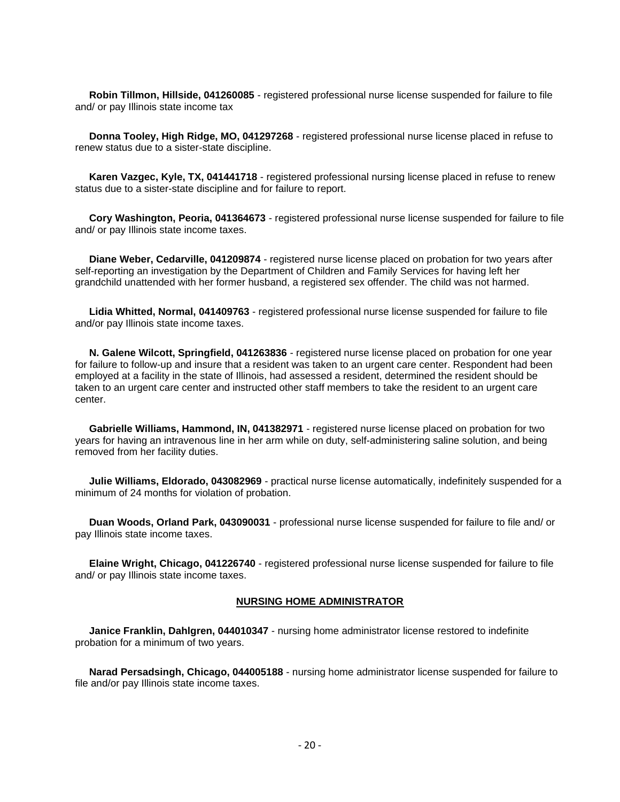**Robin Tillmon, Hillside, 041260085** - registered professional nurse license suspended for failure to file and/ or pay Illinois state income tax

 **Donna Tooley, High Ridge, MO, 041297268** - registered professional nurse license placed in refuse to renew status due to a sister-state discipline.

 **Karen Vazgec, Kyle, TX, 041441718** - registered professional nursing license placed in refuse to renew status due to a sister-state discipline and for failure to report.

 **Cory Washington, Peoria, 041364673** - registered professional nurse license suspended for failure to file and/ or pay Illinois state income taxes.

 **Diane Weber, Cedarville, 041209874** - registered nurse license placed on probation for two years after self-reporting an investigation by the Department of Children and Family Services for having left her grandchild unattended with her former husband, a registered sex offender. The child was not harmed.

 **Lidia Whitted, Normal, 041409763** - registered professional nurse license suspended for failure to file and/or pay Illinois state income taxes.

 **N. Galene Wilcott, Springfield, 041263836** - registered nurse license placed on probation for one year for failure to follow-up and insure that a resident was taken to an urgent care center. Respondent had been employed at a facility in the state of Illinois, had assessed a resident, determined the resident should be taken to an urgent care center and instructed other staff members to take the resident to an urgent care center.

 **Gabrielle Williams, Hammond, IN, 041382971** - registered nurse license placed on probation for two years for having an intravenous line in her arm while on duty, self-administering saline solution, and being removed from her facility duties.

 **Julie Williams, Eldorado, 043082969** - practical nurse license automatically, indefinitely suspended for a minimum of 24 months for violation of probation.

 **Duan Woods, Orland Park, 043090031** - professional nurse license suspended for failure to file and/ or pay Illinois state income taxes.

 **Elaine Wright, Chicago, 041226740** - registered professional nurse license suspended for failure to file and/ or pay Illinois state income taxes.

#### **NURSING HOME ADMINISTRATOR**

 **Janice Franklin, Dahlgren, 044010347** - nursing home administrator license restored to indefinite probation for a minimum of two years.

 **Narad Persadsingh, Chicago, 044005188** - nursing home administrator license suspended for failure to file and/or pay Illinois state income taxes.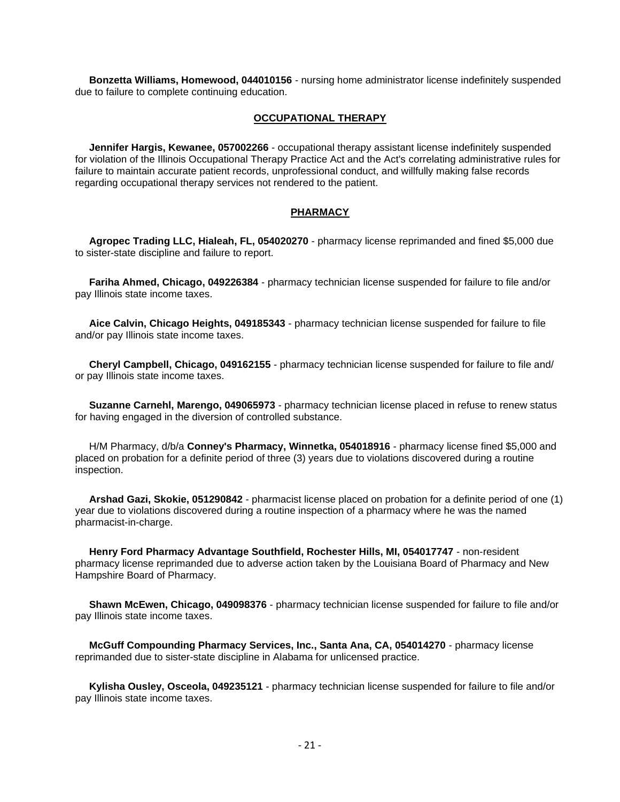**Bonzetta Williams, Homewood, 044010156** - nursing home administrator license indefinitely suspended due to failure to complete continuing education.

#### **OCCUPATIONAL THERAPY**

 **Jennifer Hargis, Kewanee, 057002266** - occupational therapy assistant license indefinitely suspended for violation of the Illinois Occupational Therapy Practice Act and the Act's correlating administrative rules for failure to maintain accurate patient records, unprofessional conduct, and willfully making false records regarding occupational therapy services not rendered to the patient.

#### **PHARMACY**

 **Agropec Trading LLC, Hialeah, FL, 054020270** - pharmacy license reprimanded and fined \$5,000 due to sister-state discipline and failure to report.

 **Fariha Ahmed, Chicago, 049226384** - pharmacy technician license suspended for failure to file and/or pay Illinois state income taxes.

 **Aice Calvin, Chicago Heights, 049185343** - pharmacy technician license suspended for failure to file and/or pay Illinois state income taxes.

 **Cheryl Campbell, Chicago, 049162155** - pharmacy technician license suspended for failure to file and/ or pay Illinois state income taxes.

 **Suzanne Carnehl, Marengo, 049065973** - pharmacy technician license placed in refuse to renew status for having engaged in the diversion of controlled substance.

 H/M Pharmacy, d/b/a **Conney's Pharmacy, Winnetka, 054018916** - pharmacy license fined \$5,000 and placed on probation for a definite period of three (3) years due to violations discovered during a routine inspection.

 **Arshad Gazi, Skokie, 051290842** - pharmacist license placed on probation for a definite period of one (1) year due to violations discovered during a routine inspection of a pharmacy where he was the named pharmacist-in-charge.

 **Henry Ford Pharmacy Advantage Southfield, Rochester Hills, MI, 054017747** - non-resident pharmacy license reprimanded due to adverse action taken by the Louisiana Board of Pharmacy and New Hampshire Board of Pharmacy.

 **Shawn McEwen, Chicago, 049098376** - pharmacy technician license suspended for failure to file and/or pay Illinois state income taxes.

 **McGuff Compounding Pharmacy Services, Inc., Santa Ana, CA, 054014270** - pharmacy license reprimanded due to sister-state discipline in Alabama for unlicensed practice.

 **Kylisha Ousley, Osceola, 049235121** - pharmacy technician license suspended for failure to file and/or pay Illinois state income taxes.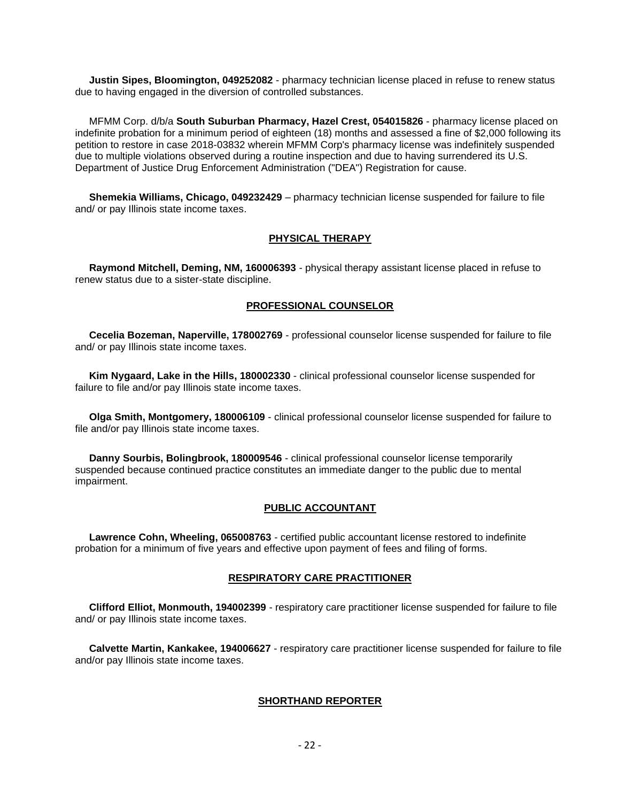**Justin Sipes, Bloomington, 049252082** - pharmacy technician license placed in refuse to renew status due to having engaged in the diversion of controlled substances.

 MFMM Corp. d/b/a **South Suburban Pharmacy, Hazel Crest, 054015826** - pharmacy license placed on indefinite probation for a minimum period of eighteen (18) months and assessed a fine of \$2,000 following its petition to restore in case 2018-03832 wherein MFMM Corp's pharmacy license was indefinitely suspended due to multiple violations observed during a routine inspection and due to having surrendered its U.S. Department of Justice Drug Enforcement Administration ("DEA") Registration for cause.

 **Shemekia Williams, Chicago, 049232429** – pharmacy technician license suspended for failure to file and/ or pay Illinois state income taxes.

#### **PHYSICAL THERAPY**

 **Raymond Mitchell, Deming, NM, 160006393** - physical therapy assistant license placed in refuse to renew status due to a sister-state discipline.

#### **PROFESSIONAL COUNSELOR**

 **Cecelia Bozeman, Naperville, 178002769** - professional counselor license suspended for failure to file and/ or pay Illinois state income taxes.

 **Kim Nygaard, Lake in the Hills, 180002330** - clinical professional counselor license suspended for failure to file and/or pay Illinois state income taxes.

 **Olga Smith, Montgomery, 180006109** - clinical professional counselor license suspended for failure to file and/or pay Illinois state income taxes.

 **Danny Sourbis, Bolingbrook, 180009546** - clinical professional counselor license temporarily suspended because continued practice constitutes an immediate danger to the public due to mental impairment.

#### **PUBLIC ACCOUNTANT**

 **Lawrence Cohn, Wheeling, 065008763** - certified public accountant license restored to indefinite probation for a minimum of five years and effective upon payment of fees and filing of forms.

#### **RESPIRATORY CARE PRACTITIONER**

 **Clifford Elliot, Monmouth, 194002399** - respiratory care practitioner license suspended for failure to file and/ or pay Illinois state income taxes.

 **Calvette Martin, Kankakee, 194006627** - respiratory care practitioner license suspended for failure to file and/or pay Illinois state income taxes.

#### **SHORTHAND REPORTER**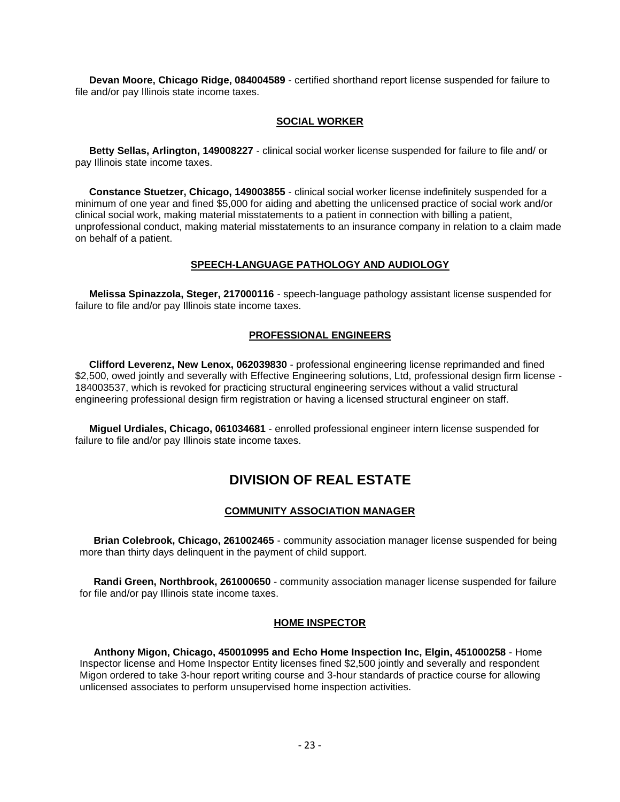**Devan Moore, Chicago Ridge, 084004589** - certified shorthand report license suspended for failure to file and/or pay Illinois state income taxes.

#### **SOCIAL WORKER**

 **Betty Sellas, Arlington, 149008227** - clinical social worker license suspended for failure to file and/ or pay Illinois state income taxes.

 **Constance Stuetzer, Chicago, 149003855** - clinical social worker license indefinitely suspended for a minimum of one year and fined \$5,000 for aiding and abetting the unlicensed practice of social work and/or clinical social work, making material misstatements to a patient in connection with billing a patient, unprofessional conduct, making material misstatements to an insurance company in relation to a claim made on behalf of a patient.

#### **SPEECH-LANGUAGE PATHOLOGY AND AUDIOLOGY**

 **Melissa Spinazzola, Steger, 217000116** - speech-language pathology assistant license suspended for failure to file and/or pay Illinois state income taxes.

#### **PROFESSIONAL ENGINEERS**

 **Clifford Leverenz, New Lenox, 062039830** - professional engineering license reprimanded and fined \$2,500, owed jointly and severally with Effective Engineering solutions, Ltd, professional design firm license -184003537, which is revoked for practicing structural engineering services without a valid structural engineering professional design firm registration or having a licensed structural engineer on staff.

 **Miguel Urdiales, Chicago, 061034681** - enrolled professional engineer intern license suspended for failure to file and/or pay Illinois state income taxes.

### **DIVISION OF REAL ESTATE**

#### **COMMUNITY ASSOCIATION MANAGER**

 **Brian Colebrook, Chicago, 261002465** - community association manager license suspended for being more than thirty days delinquent in the payment of child support.

 **Randi Green, Northbrook, 261000650** - community association manager license suspended for failure for file and/or pay Illinois state income taxes.

#### **HOME INSPECTOR**

 **Anthony Migon, Chicago, 450010995 and Echo Home Inspection Inc, Elgin, 451000258** - Home Inspector license and Home Inspector Entity licenses fined \$2,500 jointly and severally and respondent Migon ordered to take 3-hour report writing course and 3-hour standards of practice course for allowing unlicensed associates to perform unsupervised home inspection activities.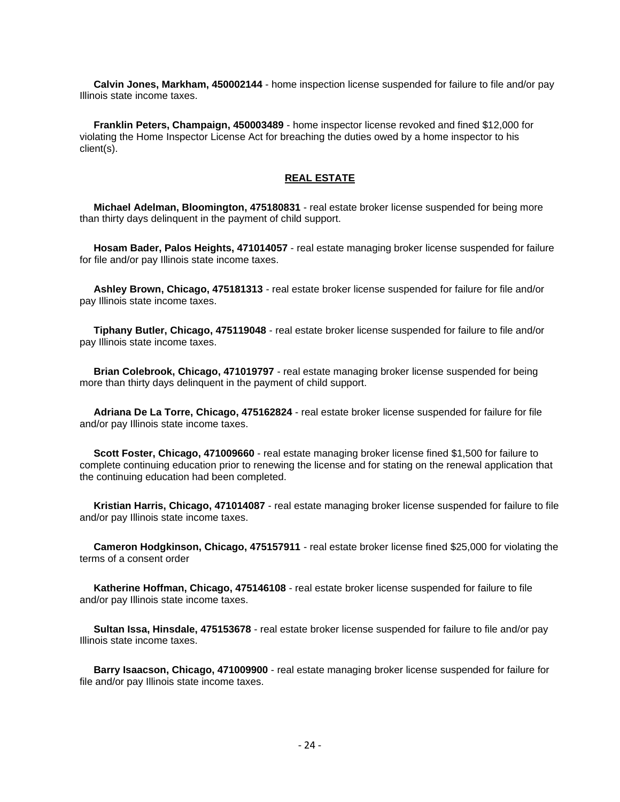**Calvin Jones, Markham, 450002144** - home inspection license suspended for failure to file and/or pay Illinois state income taxes.

 **Franklin Peters, Champaign, 450003489** - home inspector license revoked and fined \$12,000 for violating the Home Inspector License Act for breaching the duties owed by a home inspector to his client(s).

#### **REAL ESTATE**

 **Michael Adelman, Bloomington, 475180831** - real estate broker license suspended for being more than thirty days delinquent in the payment of child support.

 **Hosam Bader, Palos Heights, 471014057** - real estate managing broker license suspended for failure for file and/or pay Illinois state income taxes.

 **Ashley Brown, Chicago, 475181313** - real estate broker license suspended for failure for file and/or pay Illinois state income taxes.

 **Tiphany Butler, Chicago, 475119048** - real estate broker license suspended for failure to file and/or pay Illinois state income taxes.

 **Brian Colebrook, Chicago, 471019797** - real estate managing broker license suspended for being more than thirty days delinquent in the payment of child support.

 **Adriana De La Torre, Chicago, 475162824** - real estate broker license suspended for failure for file and/or pay Illinois state income taxes.

 **Scott Foster, Chicago, 471009660** - real estate managing broker license fined \$1,500 for failure to complete continuing education prior to renewing the license and for stating on the renewal application that the continuing education had been completed.

 **Kristian Harris, Chicago, 471014087** - real estate managing broker license suspended for failure to file and/or pay Illinois state income taxes.

 **Cameron Hodgkinson, Chicago, 475157911** - real estate broker license fined \$25,000 for violating the terms of a consent order

 **Katherine Hoffman, Chicago, 475146108** - real estate broker license suspended for failure to file and/or pay Illinois state income taxes.

 **Sultan Issa, Hinsdale, 475153678** - real estate broker license suspended for failure to file and/or pay Illinois state income taxes.

 **Barry Isaacson, Chicago, 471009900** - real estate managing broker license suspended for failure for file and/or pay Illinois state income taxes.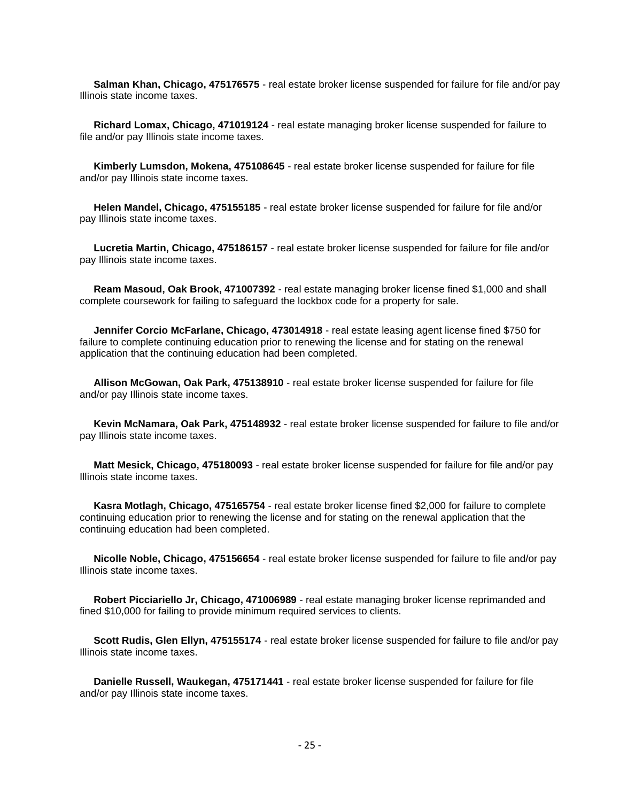**Salman Khan, Chicago, 475176575** - real estate broker license suspended for failure for file and/or pay Illinois state income taxes.

 **Richard Lomax, Chicago, 471019124** - real estate managing broker license suspended for failure to file and/or pay Illinois state income taxes.

 **Kimberly Lumsdon, Mokena, 475108645** - real estate broker license suspended for failure for file and/or pay Illinois state income taxes.

 **Helen Mandel, Chicago, 475155185** - real estate broker license suspended for failure for file and/or pay Illinois state income taxes.

 **Lucretia Martin, Chicago, 475186157** - real estate broker license suspended for failure for file and/or pay Illinois state income taxes.

 **Ream Masoud, Oak Brook, 471007392** - real estate managing broker license fined \$1,000 and shall complete coursework for failing to safeguard the lockbox code for a property for sale.

 **Jennifer Corcio McFarlane, Chicago, 473014918** - real estate leasing agent license fined \$750 for failure to complete continuing education prior to renewing the license and for stating on the renewal application that the continuing education had been completed.

 **Allison McGowan, Oak Park, 475138910** - real estate broker license suspended for failure for file and/or pay Illinois state income taxes.

 **Kevin McNamara, Oak Park, 475148932** - real estate broker license suspended for failure to file and/or pay Illinois state income taxes.

 **Matt Mesick, Chicago, 475180093** - real estate broker license suspended for failure for file and/or pay Illinois state income taxes.

 **Kasra Motlagh, Chicago, 475165754** - real estate broker license fined \$2,000 for failure to complete continuing education prior to renewing the license and for stating on the renewal application that the continuing education had been completed.

 **Nicolle Noble, Chicago, 475156654** - real estate broker license suspended for failure to file and/or pay Illinois state income taxes.

 **Robert Picciariello Jr, Chicago, 471006989** - real estate managing broker license reprimanded and fined \$10,000 for failing to provide minimum required services to clients.

 **Scott Rudis, Glen Ellyn, 475155174** - real estate broker license suspended for failure to file and/or pay Illinois state income taxes.

 **Danielle Russell, Waukegan, 475171441** - real estate broker license suspended for failure for file and/or pay Illinois state income taxes.